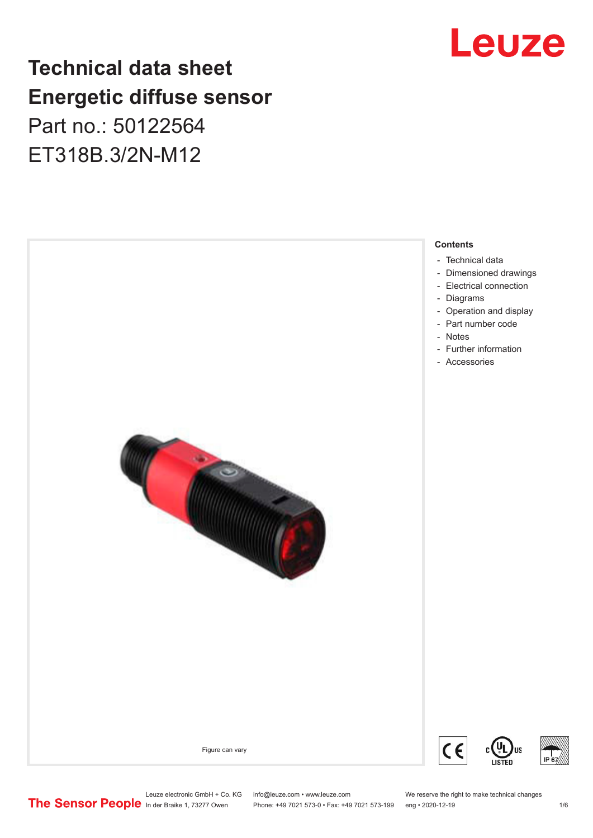# Leuze

## **Technical data sheet Energetic diffuse sensor**

Part no.: 50122564 ET318B.3/2N-M12

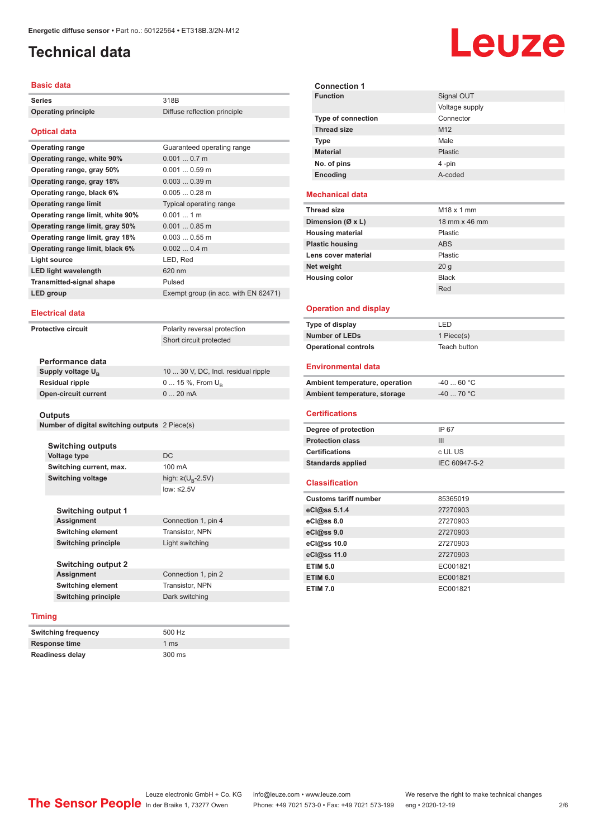## <span id="page-1-0"></span>**Technical data**

#### **Basic data**

| <b>Series</b>                    | 318B                                 |
|----------------------------------|--------------------------------------|
| <b>Operating principle</b>       | Diffuse reflection principle         |
|                                  |                                      |
| <b>Optical data</b>              |                                      |
| <b>Operating range</b>           | Guaranteed operating range           |
| Operating range, white 90%       | $0.0010.7$ m                         |
| Operating range, gray 50%        | $0.0010.59$ m                        |
| Operating range, gray 18%        | $0.0030.39$ m                        |
| Operating range, black 6%        | $0.0050.28$ m                        |
| <b>Operating range limit</b>     | Typical operating range              |
| Operating range limit, white 90% | $0.0011$ m                           |
| Operating range limit, gray 50%  | $0.0010.85$ m                        |
| Operating range limit, gray 18%  | $0.0030.55$ m                        |
| Operating range limit, black 6%  | $0.0020.4$ m                         |
| Light source                     | LED, Red                             |
| <b>LED light wavelength</b>      | 620 nm                               |
| <b>Transmitted-signal shape</b>  | Pulsed                               |
| LED group                        | Exempt group (in acc. with EN 62471) |
|                                  |                                      |

#### **Electrical data**

**Protective circuit** Polarity reversal protection

Short circuit protected

| Performance data              |                                     |
|-------------------------------|-------------------------------------|
| Supply voltage U <sub>P</sub> | 10  30 V, DC, Incl. residual ripple |
| Residual ripple               | $0 15 \%$ , From $U_{p}$            |
| Open-circuit current          | $020$ mA                            |
|                               |                                     |

#### **Outputs**

|  | Number of digital switching outputs 2 Piece(s) |  |  |
|--|------------------------------------------------|--|--|
|--|------------------------------------------------|--|--|

**Switching outputs Voltage type** DC **Switching current, max.** 100 mA **Switching voltage** 

**Switching output 1** Assignment **Switching element Switching principle** 

high:  $\geq (U_p - 2.5V)$ low: ≤2.5V

| Connection 1, pin 4 |
|---------------------|
| Transistor, NPN     |
| Light switching     |
|                     |

**Switching output 2 Assignment** Connection 1, pin 2 **Switching element** Transistor, NPN **Switching principle** Dark switching

#### **Timing**

| <b>Switching frequency</b> | 500 Hz          |
|----------------------------|-----------------|
| <b>Response time</b>       | 1 <sub>ms</sub> |
| <b>Readiness delay</b>     | 300 ms          |

|                             | <b>Leuze</b>           |
|-----------------------------|------------------------|
| <b>Connection 1</b>         |                        |
| <b>Function</b>             | Signal OUT             |
|                             | Voltage supply         |
| <b>Type of connection</b>   | Connector              |
| <b>Thread size</b>          | M <sub>12</sub>        |
| <b>Type</b>                 | Male                   |
| <b>Material</b>             | Plastic                |
| No. of pins                 | 4-pin                  |
| Encoding                    | A-coded                |
| echanical data              |                        |
| read size                   | M <sub>18</sub> x 1 mm |
| mension (Ø x L)             | 18 mm x 46 mm          |
| using material              | Plastic                |
| astic housing               | <b>ABS</b>             |
| ns cover material           | Plastic                |
| t weight                    | 20 <sub>g</sub>        |
| using color                 | <b>Black</b>           |
|                             | Red                    |
| <b>peration and display</b> |                        |

#### **Operation and displa**

**Mechanical data Thread size Dimension (Ø x L) Housing material Plastic housing Lens cover material Net weight Housing color** 

| Type of display             | I FD.        |
|-----------------------------|--------------|
| Number of LEDs              | 1 Piece(s)   |
| <b>Operational controls</b> | Teach button |

#### **Environmental data**

| Ambient temperature, operation | -40  60 °C |
|--------------------------------|------------|
| Ambient temperature, storage   | -40  70 °C |

#### **Certifications**

| Degree of protection     | IP 67         |
|--------------------------|---------------|
| <b>Protection class</b>  | Ш             |
| <b>Certifications</b>    | c UL US       |
| <b>Standards applied</b> | IEC 60947-5-2 |

#### **Classification**

| <b>Customs tariff number</b> | 85365019 |
|------------------------------|----------|
| eCl@ss 5.1.4                 | 27270903 |
| eC <sub>1</sub> @ss 8.0      | 27270903 |
| eCl@ss 9.0                   | 27270903 |
| eCl@ss 10.0                  | 27270903 |
| eCl@ss 11.0                  | 27270903 |
| <b>ETIM 5.0</b>              | EC001821 |
| <b>ETIM 6.0</b>              | EC001821 |
| <b>ETIM 7.0</b>              | EC001821 |
|                              |          |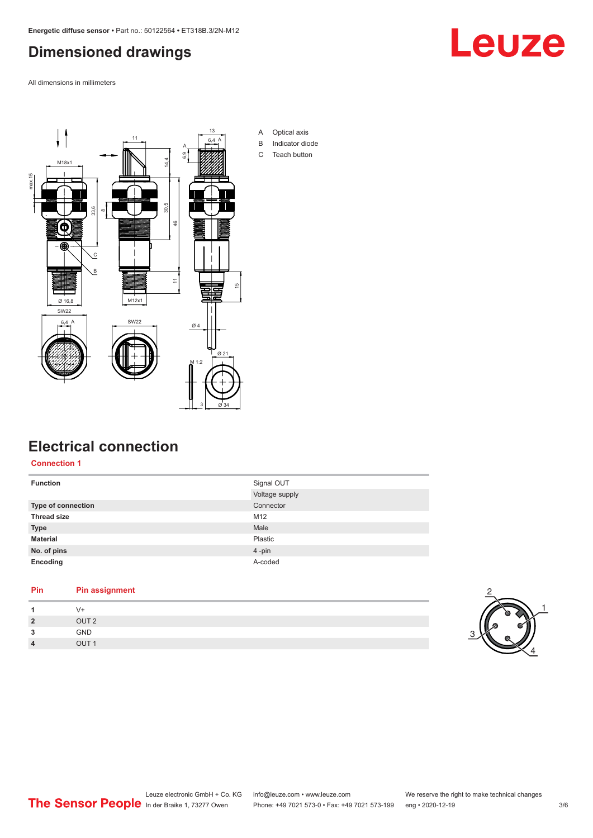## <span id="page-2-0"></span>**Dimensioned drawings**

All dimensions in millimeters





### **Electrical connection**

**Connection 1**

| <b>Function</b>    | Signal OUT     |
|--------------------|----------------|
|                    | Voltage supply |
| Type of connection | Connector      |
| <b>Thread size</b> | M12            |
| <b>Type</b>        | Male           |
| <b>Material</b>    | Plastic        |
| No. of pins        | 4-pin          |
| Encoding           | A-coded        |

## **Pin Pin assignment**

| 1              | $V^+$            |  |
|----------------|------------------|--|
| $2^{\circ}$    | OUT <sub>2</sub> |  |
| 3              | GND              |  |
| $\overline{4}$ | OUT <sub>1</sub> |  |

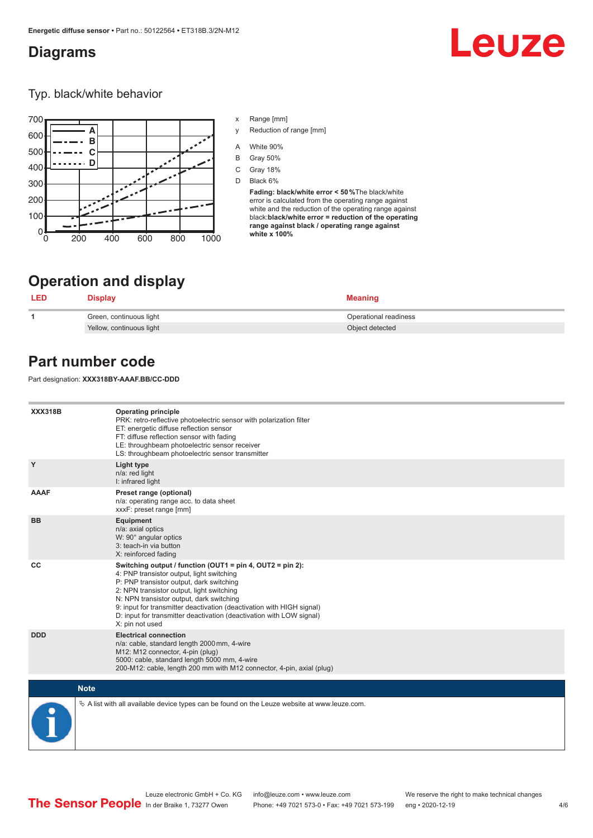#### <span id="page-3-0"></span>**Diagrams**

# Leuze

Typ. black/white behavior



- x Range [mm]
- y Reduction of range [mm]
- A White 90%
- B Gray 50%
- C Gray 18%
- D Black 6%

**Fading: black/white error < 50 %**The black/white error is calculated from the operating range against white and the reduction of the operating range against black:**black/white error = reduction of the operating range against black / operating range against white x 100%**

## **Operation and display**

| <b>LED</b> | Display                  | <b>Meaning</b>        |
|------------|--------------------------|-----------------------|
|            | Green, continuous light  | Operational readiness |
|            | Yellow, continuous light | Object detected       |

## **Part number code**

Part designation: **XXX318BY-AAAF.BB/CC-DDD**

| <b>XXX318B</b> | <b>Operating principle</b><br>PRK: retro-reflective photoelectric sensor with polarization filter<br>ET: energetic diffuse reflection sensor<br>FT: diffuse reflection sensor with fading<br>LE: throughbeam photoelectric sensor receiver<br>LS: throughbeam photoelectric sensor transmitter                                                                                                                  |
|----------------|-----------------------------------------------------------------------------------------------------------------------------------------------------------------------------------------------------------------------------------------------------------------------------------------------------------------------------------------------------------------------------------------------------------------|
| Y              | Light type<br>n/a: red light<br>I: infrared light                                                                                                                                                                                                                                                                                                                                                               |
| <b>AAAF</b>    | Preset range (optional)<br>n/a: operating range acc. to data sheet<br>xxxF: preset range [mm]                                                                                                                                                                                                                                                                                                                   |
| <b>BB</b>      | Equipment<br>n/a: axial optics<br>W: 90° angular optics<br>3: teach-in via button<br>X: reinforced fading                                                                                                                                                                                                                                                                                                       |
| CC             | Switching output / function (OUT1 = pin 4, OUT2 = pin 2):<br>4: PNP transistor output, light switching<br>P: PNP transistor output, dark switching<br>2: NPN transistor output, light switching<br>N: NPN transistor output, dark switching<br>9: input for transmitter deactivation (deactivation with HIGH signal)<br>D: input for transmitter deactivation (deactivation with LOW signal)<br>X: pin not used |
| <b>DDD</b>     | <b>Electrical connection</b><br>n/a: cable, standard length 2000 mm, 4-wire<br>M12: M12 connector, 4-pin (plug)<br>5000: cable, standard length 5000 mm, 4-wire<br>200-M12: cable, length 200 mm with M12 connector, 4-pin, axial (plug)                                                                                                                                                                        |
| <b>Note</b>    |                                                                                                                                                                                                                                                                                                                                                                                                                 |
|                | $\&$ A list with all available device types can be found on the Leuze website at www.leuze.com.                                                                                                                                                                                                                                                                                                                 |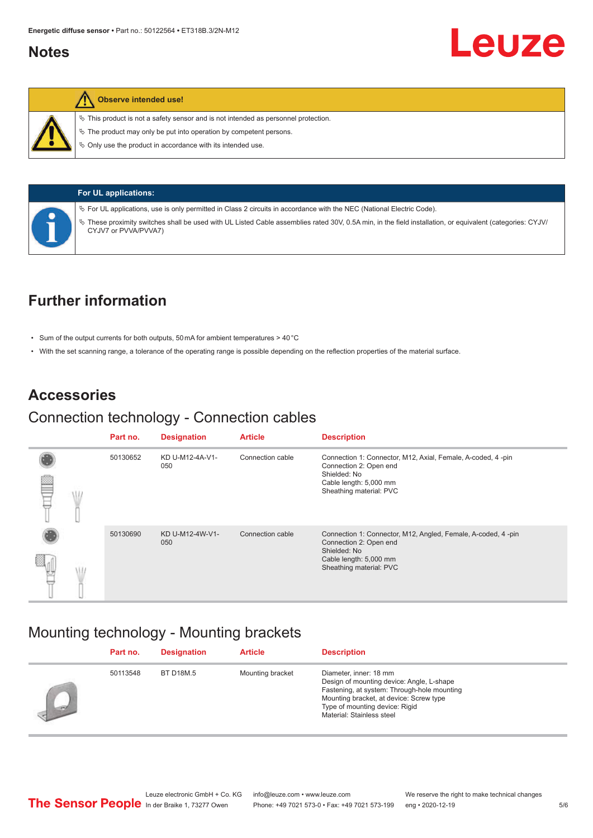#### <span id="page-4-0"></span>**Notes**



#### **Observe intended use!**

 $\%$  This product is not a safety sensor and is not intended as personnel protection.

 $\%$  The product may only be put into operation by competent persons.

 $\%$  Only use the product in accordance with its intended use.

| <b>For UL applications:</b>                                                                                                                                                                                                                                                                                      |
|------------------------------------------------------------------------------------------------------------------------------------------------------------------------------------------------------------------------------------------------------------------------------------------------------------------|
| $\%$ For UL applications, use is only permitted in Class 2 circuits in accordance with the NEC (National Electric Code).<br>These proximity switches shall be used with UL Listed Cable assemblies rated 30V, 0.5A min, in the field installation, or equivalent (categories: CYJV/<br>₩<br>CYJV7 or PVVA/PVVA7) |

## **Further information**

- Sum of the output currents for both outputs, 50 mA for ambient temperatures > 40 °C
- With the set scanning range, a tolerance of the operating range is possible depending on the reflection properties of the material surface.

#### **Accessories**

#### Connection technology - Connection cables

|  | Part no. | <b>Designation</b>     | <b>Article</b>   | <b>Description</b>                                                                                                                                          |
|--|----------|------------------------|------------------|-------------------------------------------------------------------------------------------------------------------------------------------------------------|
|  | 50130652 | KD U-M12-4A-V1-<br>050 | Connection cable | Connection 1: Connector, M12, Axial, Female, A-coded, 4-pin<br>Connection 2: Open end<br>Shielded: No<br>Cable length: 5,000 mm<br>Sheathing material: PVC  |
|  | 50130690 | KD U-M12-4W-V1-<br>050 | Connection cable | Connection 1: Connector, M12, Angled, Female, A-coded, 4-pin<br>Connection 2: Open end<br>Shielded: No<br>Cable length: 5,000 mm<br>Sheathing material: PVC |

#### Mounting technology - Mounting brackets

|       | Part no. | <b>Designation</b> | <b>Article</b>   | <b>Description</b>                                                                                                                                                                                                           |
|-------|----------|--------------------|------------------|------------------------------------------------------------------------------------------------------------------------------------------------------------------------------------------------------------------------------|
| - Fil | 50113548 | <b>BT D18M.5</b>   | Mounting bracket | Diameter, inner: 18 mm<br>Design of mounting device: Angle, L-shape<br>Fastening, at system: Through-hole mounting<br>Mounting bracket, at device: Screw type<br>Type of mounting device: Rigid<br>Material: Stainless steel |

Leuze